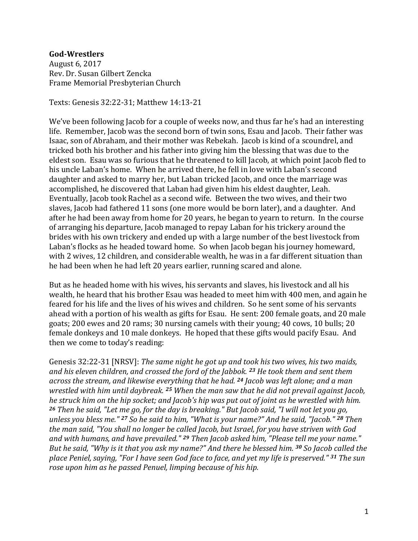## **God-Wrestlers**

August 6, 2017 Rev. Dr. Susan Gilbert Zencka Frame Memorial Presbyterian Church

Texts: Genesis 32:22-31; Matthew 14:13-21

We've been following Jacob for a couple of weeks now, and thus far he's had an interesting life. Remember, Jacob was the second born of twin sons, Esau and Jacob. Their father was Isaac, son of Abraham, and their mother was Rebekah. Jacob is kind of a scoundrel, and tricked both his brother and his father into giving him the blessing that was due to the eldest son. Esau was so furious that he threatened to kill Jacob, at which point Jacob fled to his uncle Laban's home. When he arrived there, he fell in love with Laban's second daughter and asked to marry her, but Laban tricked Jacob, and once the marriage was accomplished, he discovered that Laban had given him his eldest daughter, Leah. Eventually, Jacob took Rachel as a second wife. Between the two wives, and their two slaves, Jacob had fathered 11 sons (one more would be born later), and a daughter. And after he had been away from home for 20 years, he began to yearn to return. In the course of arranging his departure, Jacob managed to repay Laban for his trickery around the brides with his own trickery and ended up with a large number of the best livestock from Laban's flocks as he headed toward home. So when Jacob began his journey homeward, with 2 wives, 12 children, and considerable wealth, he was in a far different situation than he had been when he had left 20 years earlier, running scared and alone.

But as he headed home with his wives, his servants and slaves, his livestock and all his wealth, he heard that his brother Esau was headed to meet him with 400 men, and again he feared for his life and the lives of his wives and children. So he sent some of his servants ahead with a portion of his wealth as gifts for Esau. He sent: 200 female goats, and 20 male goats; 200 ewes and 20 rams; 30 nursing camels with their young; 40 cows, 10 bulls; 20 female donkeys and 10 male donkeys. He hoped that these gifts would pacify Esau. And then we come to today's reading:

Genesis 32:22-31 [NRSV]: *The same night he got up and took his two wives, his two maids, and his eleven children, and crossed the ford of the Jabbok. <sup>23</sup> He took them and sent them across the stream, and likewise everything that he had. <sup>24</sup> Jacob was left alone; and a man wrestled with him until daybreak. <sup>25</sup> When the man saw that he did not prevail against Jacob, he struck him on the hip socket; and Jacob's hip was put out of joint as he wrestled with him. <sup>26</sup> Then he said, "Let me go, for the day is breaking." But Jacob said, "I will not let you go, unless you bless me." <sup>27</sup> So he said to him, "What is your name?" And he said, "Jacob." <sup>28</sup> Then the man said, "You shall no longer be called Jacob, but Israel, for you have striven with God and with humans, and have prevailed." <sup>29</sup> Then Jacob asked him, "Please tell me your name." But he said, "Why is it that you ask my name?" And there he blessed him. <sup>30</sup> So Jacob called the place Peniel, saying, "For I have seen God face to face, and yet my life is preserved." <sup>31</sup> The sun rose upon him as he passed Penuel, limping because of his hip.*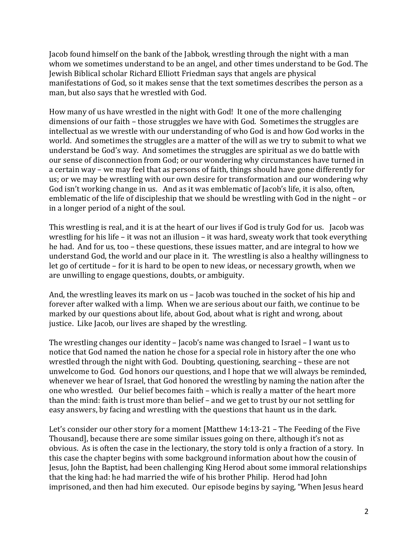Jacob found himself on the bank of the Jabbok, wrestling through the night with a man whom we sometimes understand to be an angel, and other times understand to be God. The Jewish Biblical scholar Richard Elliott Friedman says that angels are physical manifestations of God, so it makes sense that the text sometimes describes the person as a man, but also says that he wrestled with God.

How many of us have wrestled in the night with God! It one of the more challenging dimensions of our faith – those struggles we have with God. Sometimes the struggles are intellectual as we wrestle with our understanding of who God is and how God works in the world. And sometimes the struggles are a matter of the will as we try to submit to what we understand be God's way. And sometimes the struggles are spiritual as we do battle with our sense of disconnection from God; or our wondering why circumstances have turned in a certain way – we may feel that as persons of faith, things should have gone differently for us; or we may be wrestling with our own desire for transformation and our wondering why God isn't working change in us. And as it was emblematic of Jacob's life, it is also, often, emblematic of the life of discipleship that we should be wrestling with God in the night – or in a longer period of a night of the soul.

This wrestling is real, and it is at the heart of our lives if God is truly God for us. Jacob was wrestling for his life – it was not an illusion – it was hard, sweaty work that took everything he had. And for us, too – these questions, these issues matter, and are integral to how we understand God, the world and our place in it. The wrestling is also a healthy willingness to let go of certitude – for it is hard to be open to new ideas, or necessary growth, when we are unwilling to engage questions, doubts, or ambiguity.

And, the wrestling leaves its mark on us – Jacob was touched in the socket of his hip and forever after walked with a limp. When we are serious about our faith, we continue to be marked by our questions about life, about God, about what is right and wrong, about justice. Like Jacob, our lives are shaped by the wrestling.

The wrestling changes our identity – Jacob's name was changed to Israel – I want us to notice that God named the nation he chose for a special role in history after the one who wrestled through the night with God. Doubting, questioning, searching – these are not unwelcome to God. God honors our questions, and I hope that we will always be reminded, whenever we hear of Israel, that God honored the wrestling by naming the nation after the one who wrestled. Our belief becomes faith – which is really a matter of the heart more than the mind: faith is trust more than belief – and we get to trust by our not settling for easy answers, by facing and wrestling with the questions that haunt us in the dark.

Let's consider our other story for a moment [Matthew 14:13-21 – The Feeding of the Five Thousand], because there are some similar issues going on there, although it's not as obvious. As is often the case in the lectionary, the story told is only a fraction of a story. In this case the chapter begins with some background information about how the cousin of Jesus, John the Baptist, had been challenging King Herod about some immoral relationships that the king had: he had married the wife of his brother Philip. Herod had John imprisoned, and then had him executed. Our episode begins by saying, "When Jesus heard